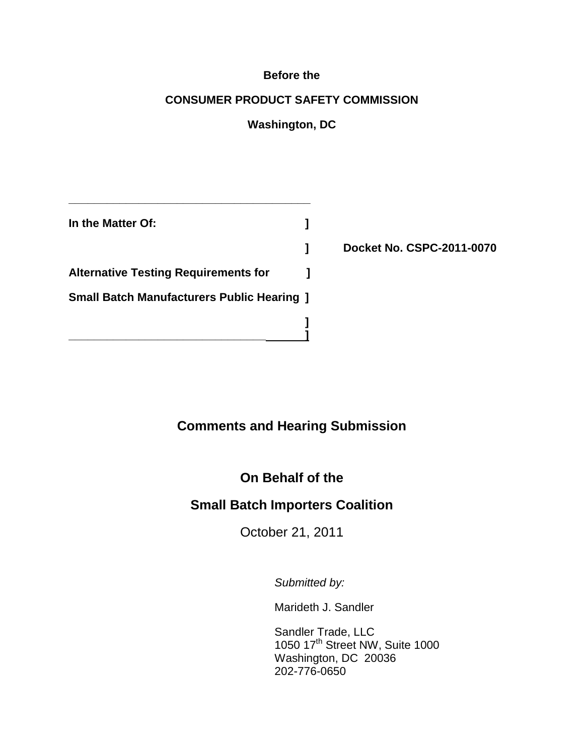#### **Before the**

#### **CONSUMER PRODUCT SAFETY COMMISSION**

### **Washington, DC**

| In the Matter Of:                                 |  |
|---------------------------------------------------|--|
|                                                   |  |
| <b>Alternative Testing Requirements for</b>       |  |
| <b>Small Batch Manufacturers Public Hearing 1</b> |  |
|                                                   |  |

**\_\_\_\_\_\_\_\_\_\_\_\_\_\_\_\_\_\_\_\_\_\_\_\_\_\_\_\_\_\_\_\_\_\_\_\_\_\_**

**] Docket No. CSPC-2011-0070**

### **Comments and Hearing Submission**

### **On Behalf of the**

### **Small Batch Importers Coalition**

October 21, 2011

*Submitted by:*

Marideth J. Sandler

Sandler Trade, LLC 1050 17<sup>th</sup> Street NW, Suite 1000 Washington, DC 20036 202-776-0650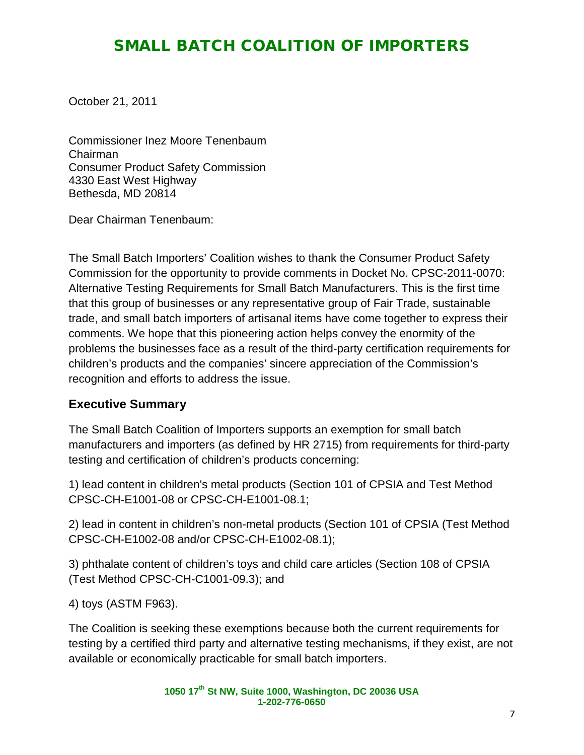October 21, 2011

Commissioner Inez Moore Tenenbaum Chairman Consumer Product Safety Commission 4330 East West Highway Bethesda, MD 20814

Dear Chairman Tenenbaum:

The Small Batch Importers' Coalition wishes to thank the Consumer Product Safety Commission for the opportunity to provide comments in Docket No. CPSC-2011-0070: Alternative Testing Requirements for Small Batch Manufacturers. This is the first time that this group of businesses or any representative group of Fair Trade, sustainable trade, and small batch importers of artisanal items have come together to express their comments. We hope that this pioneering action helps convey the enormity of the problems the businesses face as a result of the third-party certification requirements for children's products and the companies' sincere appreciation of the Commission's recognition and efforts to address the issue.

#### **Executive Summary**

The Small Batch Coalition of Importers supports an exemption for small batch manufacturers and importers (as defined by HR 2715) from requirements for third-party testing and certification of children's products concerning:

1) lead content in children's metal products (Section 101 of CPSIA and Test Method CPSC-CH-E1001-08 or CPSC-CH-E1001-08.1;

2) lead in content in children's non-metal products (Section 101 of CPSIA (Test Method CPSC-CH-E1002-08 and/or CPSC-CH-E1002-08.1);

3) phthalate content of children's toys and child care articles (Section 108 of CPSIA (Test Method CPSC-CH-C1001-09.3); and

4) toys (ASTM F963).

The Coalition is seeking these exemptions because both the current requirements for testing by a certified third party and alternative testing mechanisms, if they exist, are not available or economically practicable for small batch importers.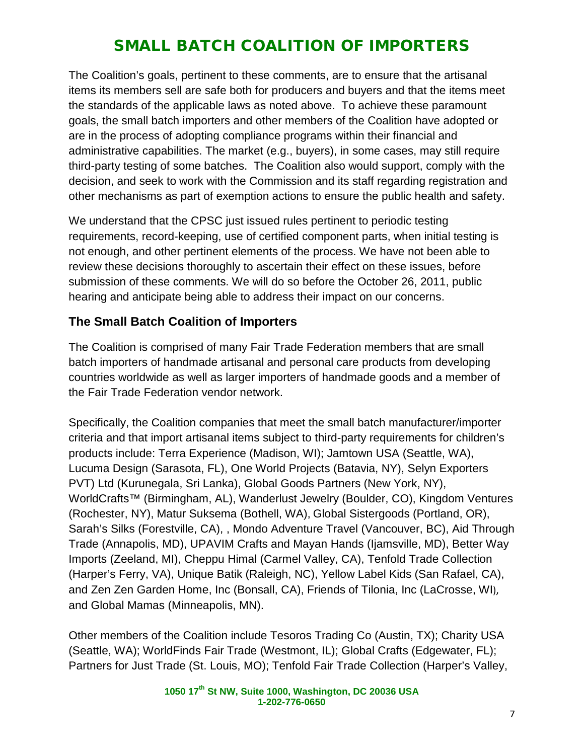The Coalition's goals, pertinent to these comments, are to ensure that the artisanal items its members sell are safe both for producers and buyers and that the items meet the standards of the applicable laws as noted above. To achieve these paramount goals, the small batch importers and other members of the Coalition have adopted or are in the process of adopting compliance programs within their financial and administrative capabilities. The market (e.g., buyers), in some cases, may still require third-party testing of some batches. The Coalition also would support, comply with the decision, and seek to work with the Commission and its staff regarding registration and other mechanisms as part of exemption actions to ensure the public health and safety.

We understand that the CPSC just issued rules pertinent to periodic testing requirements, record-keeping, use of certified component parts, when initial testing is not enough, and other pertinent elements of the process. We have not been able to review these decisions thoroughly to ascertain their effect on these issues, before submission of these comments. We will do so before the October 26, 2011, public hearing and anticipate being able to address their impact on our concerns.

#### **The Small Batch Coalition of Importers**

The Coalition is comprised of many Fair Trade Federation members that are small batch importers of handmade artisanal and personal care products from developing countries worldwide as well as larger importers of handmade goods and a member of the Fair Trade Federation vendor network.

Specifically, the Coalition companies that meet the small batch manufacturer/importer criteria and that import artisanal items subject to third-party requirements for children's products include: Terra Experience (Madison, WI); Jamtown USA (Seattle, WA), Lucuma Design (Sarasota, FL), One World Projects (Batavia, NY), Selyn Exporters PVT) Ltd (Kurunegala, Sri Lanka), Global Goods Partners (New York, NY), WorldCrafts™ (Birmingham, AL), Wanderlust Jewelry (Boulder, CO), Kingdom Ventures (Rochester, NY), Matur Suksema (Bothell, WA), Global Sistergoods (Portland, OR), Sarah's Silks (Forestville, CA), , Mondo Adventure Travel (Vancouver, BC), Aid Through Trade (Annapolis, MD), UPAVIM Crafts and Mayan Hands (Ijamsville, MD), Better Way Imports (Zeeland, MI), Cheppu Himal (Carmel Valley, CA), Tenfold Trade Collection (Harper's Ferry, VA), Unique Batik (Raleigh, NC), Yellow Label Kids (San Rafael, CA), and Zen Zen Garden Home, Inc (Bonsall, CA), Friends of Tilonia, Inc (LaCrosse, WI), and Global Mamas (Minneapolis, MN).

Other members of the Coalition include Tesoros Trading Co (Austin, TX); Charity USA (Seattle, WA); WorldFinds Fair Trade (Westmont, IL); Global Crafts (Edgewater, FL); Partners for Just Trade (St. Louis, MO); Tenfold Fair Trade Collection (Harper's Valley,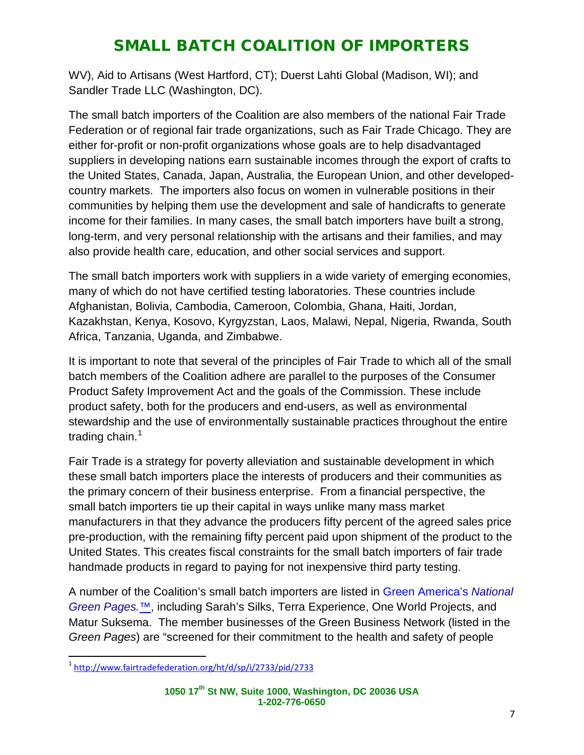WV), Aid to Artisans (West Hartford, CT); Duerst Lahti Global (Madison, WI); and Sandler Trade LLC (Washington, DC).

The small batch importers of the Coalition are also members of the national Fair Trade Federation or of regional fair trade organizations, such as Fair Trade Chicago. They are either for-profit or non-profit organizations whose goals are to help disadvantaged suppliers in developing nations earn sustainable incomes through the export of crafts to the United States, Canada, Japan, Australia, the European Union, and other developedcountry markets. The importers also focus on women in vulnerable positions in their communities by helping them use the development and sale of handicrafts to generate income for their families. In many cases, the small batch importers have built a strong, long-term, and very personal relationship with the artisans and their families, and may also provide health care, education, and other social services and support.

The small batch importers work with suppliers in a wide variety of emerging economies, many of which do not have certified testing laboratories. These countries include Afghanistan, Bolivia, Cambodia, Cameroon, Colombia, Ghana, Haiti, Jordan, Kazakhstan, Kenya, Kosovo, Kyrgyzstan, Laos, Malawi, Nepal, Nigeria, Rwanda, South Africa, Tanzania, Uganda, and Zimbabwe.

It is important to note that several of the principles of Fair Trade to which all of the small batch members of the Coalition adhere are parallel to the purposes of the Consumer Product Safety Improvement Act and the goals of the Commission. These include product safety, both for the producers and end-users, as well as environmental stewardship and the use of environmentally sustainable practices throughout the entire trading chain. $1$ 

Fair Trade is a strategy for poverty alleviation and sustainable development in which these small batch importers place the interests of producers and their communities as the primary concern of their business enterprise. From a financial perspective, the small batch importers tie up their capital in ways unlike many mass market manufacturers in that they advance the producers fifty percent of the agreed sales price pre-production, with the remaining fifty percent paid upon shipment of the product to the United States. This creates fiscal constraints for the small batch importers of fair trade handmade products in regard to paying for not inexpensive third party testing.

A number of the Coalition's small batch importers are listed in [Green America's](http://www.greenpages.org/) *National [Green Pages.](http://www.greenpages.org/)*™, including Sarah's Silks, Terra Experience, One World Projects, and Matur Suksema. The member businesses of the Green Business Network (listed in the *Green Pages*) are "screened for their commitment to the health and safety of people

<span id="page-3-0"></span> <sup>1</sup> <http://www.fairtradefederation.org/ht/d/sp/i/2733/pid/2733>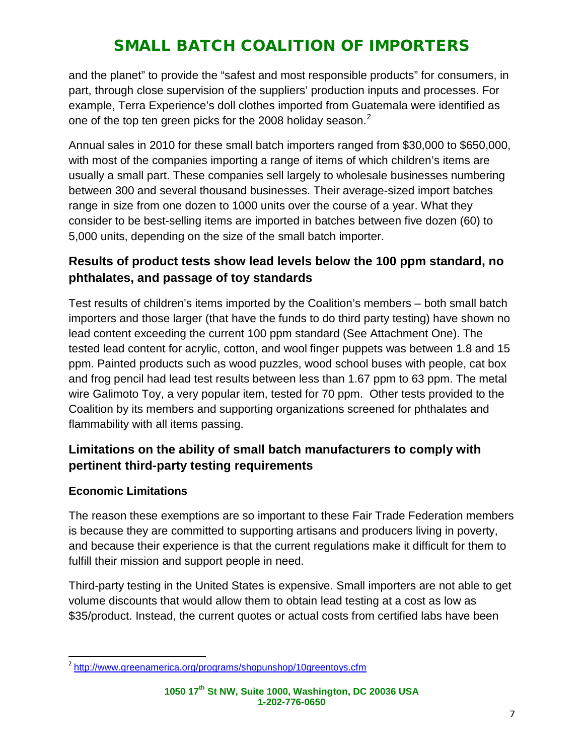and the planet" to provide the "safest and most responsible products" for consumers, in part, through close supervision of the suppliers' production inputs and processes. For example, Terra Experience's doll clothes imported from Guatemala were identified as one of the top ten green picks for the [2](#page-4-0)008 holiday season. $^2$ 

Annual sales in 2010 for these small batch importers ranged from \$30,000 to \$650,000, with most of the companies importing a range of items of which children's items are usually a small part. These companies sell largely to wholesale businesses numbering between 300 and several thousand businesses. Their average-sized import batches range in size from one dozen to 1000 units over the course of a year. What they consider to be best-selling items are imported in batches between five dozen (60) to 5,000 units, depending on the size of the small batch importer.

### **Results of product tests show lead levels below the 100 ppm standard, no phthalates, and passage of toy standards**

Test results of children's items imported by the Coalition's members – both small batch importers and those larger (that have the funds to do third party testing) have shown no lead content exceeding the current 100 ppm standard (See Attachment One). The tested lead content for acrylic, cotton, and wool finger puppets was between 1.8 and 15 ppm. Painted products such as wood puzzles, wood school buses with people, cat box and frog pencil had lead test results between less than 1.67 ppm to 63 ppm. The metal wire Galimoto Toy, a very popular item, tested for 70 ppm. Other tests provided to the Coalition by its members and supporting organizations screened for phthalates and flammability with all items passing.

### **Limitations on the ability of small batch manufacturers to comply with pertinent third-party testing requirements**

#### **Economic Limitations**

The reason these exemptions are so important to these Fair Trade Federation members is because they are committed to supporting artisans and producers living in poverty, and because their experience is that the current regulations make it difficult for them to fulfill their mission and support people in need.

Third-party testing in the United States is expensive. Small importers are not able to get volume discounts that would allow them to obtain lead testing at a cost as low as \$35/product. Instead, the current quotes or actual costs from certified labs have been

<span id="page-4-0"></span><sup>&</sup>lt;sup>2</sup> <http://www.greenamerica.org/programs/shopunshop/10greentoys.cfm>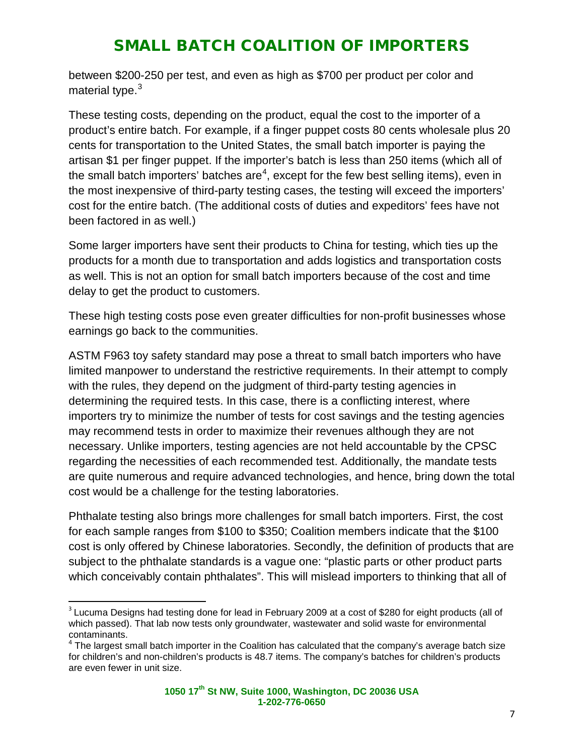between \$200-250 per test, and even as high as \$700 per product per color and material type.<sup>[3](#page-5-0)</sup>

These testing costs, depending on the product, equal the cost to the importer of a product's entire batch. For example, if a finger puppet costs 80 cents wholesale plus 20 cents for transportation to the United States, the small batch importer is paying the artisan \$1 per finger puppet. If the importer's batch is less than 250 items (which all of the small batch importers' batches are<sup>[4](#page-5-1)</sup>, except for the few best selling items), even in the most inexpensive of third-party testing cases, the testing will exceed the importers' cost for the entire batch. (The additional costs of duties and expeditors' fees have not been factored in as well.)

Some larger importers have sent their products to China for testing, which ties up the products for a month due to transportation and adds logistics and transportation costs as well. This is not an option for small batch importers because of the cost and time delay to get the product to customers.

These high testing costs pose even greater difficulties for non-profit businesses whose earnings go back to the communities.

ASTM F963 toy safety standard may pose a threat to small batch importers who have limited manpower to understand the restrictive requirements. In their attempt to comply with the rules, they depend on the judgment of third-party testing agencies in determining the required tests. In this case, there is a conflicting interest, where importers try to minimize the number of tests for cost savings and the testing agencies may recommend tests in order to maximize their revenues although they are not necessary. Unlike importers, testing agencies are not held accountable by the CPSC regarding the necessities of each recommended test. Additionally, the mandate tests are quite numerous and require advanced technologies, and hence, bring down the total cost would be a challenge for the testing laboratories.

Phthalate testing also brings more challenges for small batch importers. First, the cost for each sample ranges from \$100 to \$350; Coalition members indicate that the \$100 cost is only offered by Chinese laboratories. Secondly, the definition of products that are subject to the phthalate standards is a vague one: "plastic parts or other product parts which conceivably contain phthalates". This will mislead importers to thinking that all of

<span id="page-5-0"></span> $3$  Lucuma Designs had testing done for lead in February 2009 at a cost of \$280 for eight products (all of which passed). That lab now tests only groundwater, wastewater and solid waste for environmental contaminants.

<span id="page-5-1"></span> $4$  The largest small batch importer in the Coalition has calculated that the company's average batch size for children's and non-children's products is 48.7 items. The company's batches for children's products are even fewer in unit size.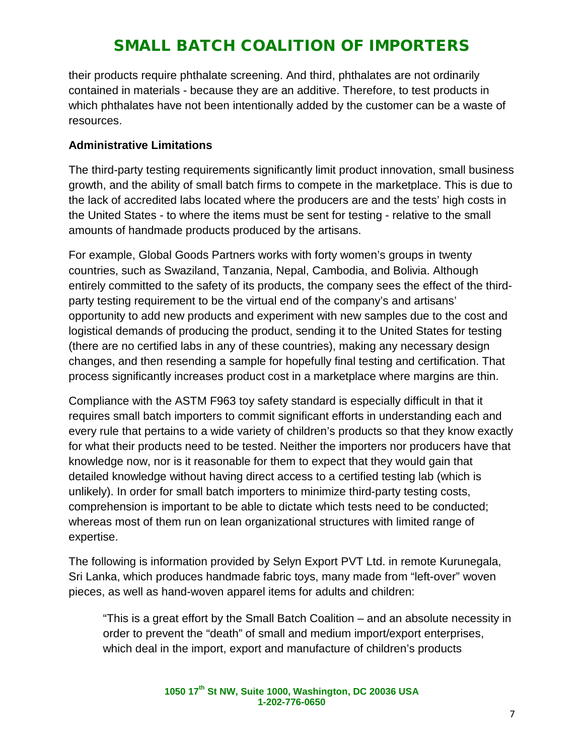their products require phthalate screening. And third, phthalates are not ordinarily contained in materials - because they are an additive. Therefore, to test products in which phthalates have not been intentionally added by the customer can be a waste of resources.

#### **Administrative Limitations**

The third-party testing requirements significantly limit product innovation, small business growth, and the ability of small batch firms to compete in the marketplace. This is due to the lack of accredited labs located where the producers are and the tests' high costs in the United States - to where the items must be sent for testing - relative to the small amounts of handmade products produced by the artisans.

For example, Global Goods Partners works with forty women's groups in twenty countries, such as Swaziland, Tanzania, Nepal, Cambodia, and Bolivia. Although entirely committed to the safety of its products, the company sees the effect of the thirdparty testing requirement to be the virtual end of the company's and artisans' opportunity to add new products and experiment with new samples due to the cost and logistical demands of producing the product, sending it to the United States for testing (there are no certified labs in any of these countries), making any necessary design changes, and then resending a sample for hopefully final testing and certification. That process significantly increases product cost in a marketplace where margins are thin.

Compliance with the ASTM F963 toy safety standard is especially difficult in that it requires small batch importers to commit significant efforts in understanding each and every rule that pertains to a wide variety of children's products so that they know exactly for what their products need to be tested. Neither the importers nor producers have that knowledge now, nor is it reasonable for them to expect that they would gain that detailed knowledge without having direct access to a certified testing lab (which is unlikely). In order for small batch importers to minimize third-party testing costs, comprehension is important to be able to dictate which tests need to be conducted; whereas most of them run on lean organizational structures with limited range of expertise.

The following is information provided by Selyn Export PVT Ltd. in remote Kurunegala, Sri Lanka, which produces handmade fabric toys, many made from "left-over" woven pieces, as well as hand-woven apparel items for adults and children:

"This is a great effort by the Small Batch Coalition – and an absolute necessity in order to prevent the "death" of small and medium import/export enterprises, which deal in the import, export and manufacture of children's products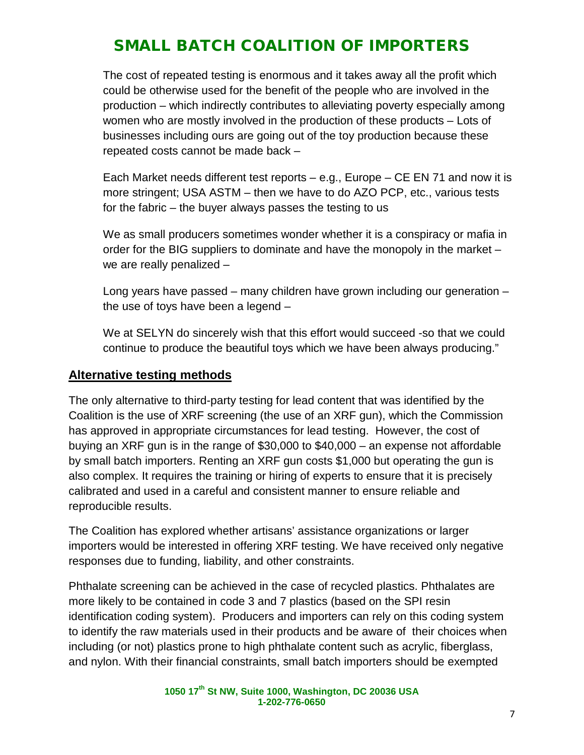The cost of repeated testing is enormous and it takes away all the profit which could be otherwise used for the benefit of the people who are involved in the production – which indirectly contributes to alleviating poverty especially among women who are mostly involved in the production of these products – Lots of businesses including ours are going out of the toy production because these repeated costs cannot be made back –

Each Market needs different test reports – e.g., Europe – CE EN 71 and now it is more stringent; USA ASTM – then we have to do AZO PCP, etc., various tests for the fabric – the buyer always passes the testing to us

We as small producers sometimes wonder whether it is a conspiracy or mafia in order for the BIG suppliers to dominate and have the monopoly in the market – we are really penalized –

Long years have passed – many children have grown including our generation – the use of toys have been a legend –

We at SELYN do sincerely wish that this effort would succeed -so that we could continue to produce the beautiful toys which we have been always producing."

#### **Alternative testing methods**

The only alternative to third-party testing for lead content that was identified by the Coalition is the use of XRF screening (the use of an XRF gun), which the Commission has approved in appropriate circumstances for lead testing. However, the cost of buying an XRF gun is in the range of \$30,000 to \$40,000 – an expense not affordable by small batch importers. Renting an XRF gun costs \$1,000 but operating the gun is also complex. It requires the training or hiring of experts to ensure that it is precisely calibrated and used in a careful and consistent manner to ensure reliable and reproducible results.

The Coalition has explored whether artisans' assistance organizations or larger importers would be interested in offering XRF testing. We have received only negative responses due to funding, liability, and other constraints.

Phthalate screening can be achieved in the case of recycled plastics. Phthalates are more likely to be contained in code 3 and 7 plastics (based on the SPI resin identification coding system). Producers and importers can rely on this coding system to identify the raw materials used in their products and be aware of their choices when including (or not) plastics prone to high phthalate content such as acrylic, fiberglass, and nylon. With their financial constraints, small batch importers should be exempted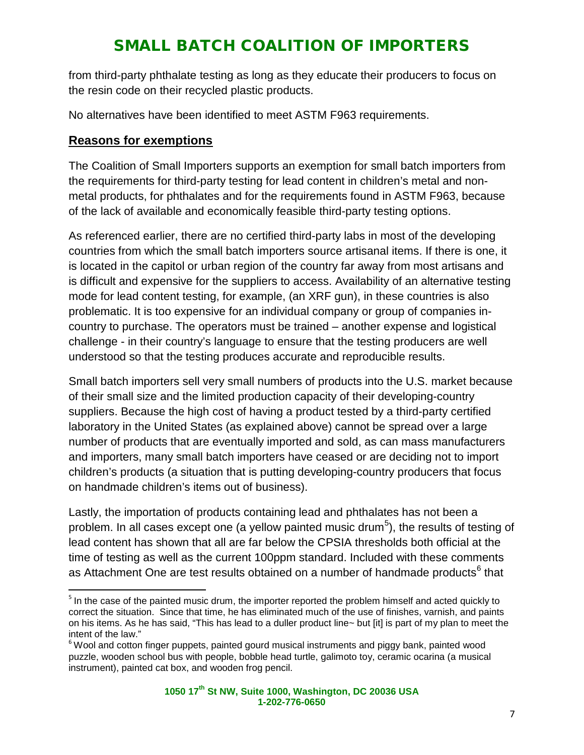from third-party phthalate testing as long as they educate their producers to focus on the resin code on their recycled plastic products.

No alternatives have been identified to meet ASTM F963 requirements.

#### **Reasons for exemptions**

The Coalition of Small Importers supports an exemption for small batch importers from the requirements for third-party testing for lead content in children's metal and nonmetal products, for phthalates and for the requirements found in ASTM F963, because of the lack of available and economically feasible third-party testing options.

As referenced earlier, there are no certified third-party labs in most of the developing countries from which the small batch importers source artisanal items. If there is one, it is located in the capitol or urban region of the country far away from most artisans and is difficult and expensive for the suppliers to access. Availability of an alternative testing mode for lead content testing, for example, (an XRF gun), in these countries is also problematic. It is too expensive for an individual company or group of companies incountry to purchase. The operators must be trained – another expense and logistical challenge - in their country's language to ensure that the testing producers are well understood so that the testing produces accurate and reproducible results.

Small batch importers sell very small numbers of products into the U.S. market because of their small size and the limited production capacity of their developing-country suppliers. Because the high cost of having a product tested by a third-party certified laboratory in the United States (as explained above) cannot be spread over a large number of products that are eventually imported and sold, as can mass manufacturers and importers, many small batch importers have ceased or are deciding not to import children's products (a situation that is putting developing-country producers that focus on handmade children's items out of business).

Lastly, the importation of products containing lead and phthalates has not been a problem. In all cases except one (a yellow painted music drum<sup>[5](#page-8-0)</sup>), the results of testing of lead content has shown that all are far below the CPSIA thresholds both official at the time of testing as well as the current 100ppm standard. Included with these comments as Attachment One are test results obtained on a number of handmade products<sup>[6](#page-8-1)</sup> that

<span id="page-8-0"></span><sup>&</sup>lt;sup>5</sup> In the case of the painted music drum, the importer reported the problem himself and acted quickly to correct the situation. Since that time, he has eliminated much of the use of finishes, varnish, and paints on his items. As he has said, "This has lead to a duller product line~ but [it] is part of my plan to meet the intent of the law."

<span id="page-8-1"></span> $6$  Wool and cotton finger puppets, painted gourd musical instruments and piggy bank, painted wood puzzle, wooden school bus with people, bobble head turtle, galimoto toy, ceramic ocarina (a musical instrument), painted cat box, and wooden frog pencil.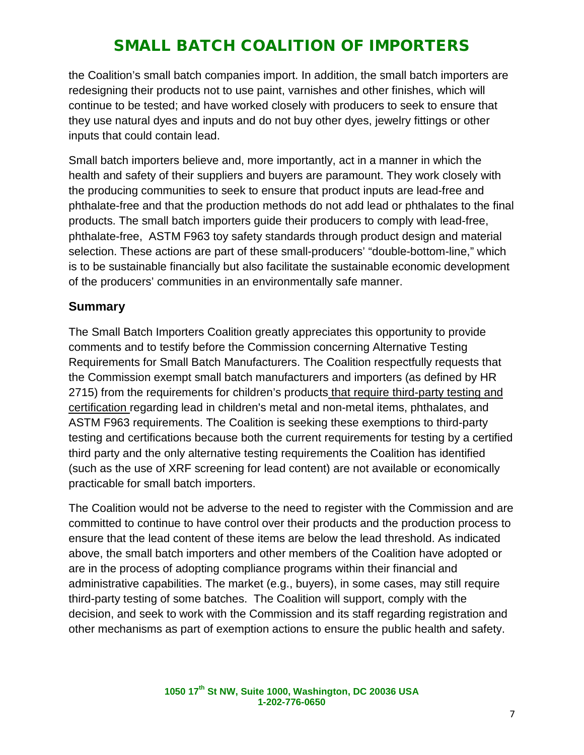the Coalition's small batch companies import. In addition, the small batch importers are redesigning their products not to use paint, varnishes and other finishes, which will continue to be tested; and have worked closely with producers to seek to ensure that they use natural dyes and inputs and do not buy other dyes, jewelry fittings or other inputs that could contain lead.

Small batch importers believe and, more importantly, act in a manner in which the health and safety of their suppliers and buyers are paramount. They work closely with the producing communities to seek to ensure that product inputs are lead-free and phthalate-free and that the production methods do not add lead or phthalates to the final products. The small batch importers guide their producers to comply with lead-free, phthalate-free, ASTM F963 toy safety standards through product design and material selection. These actions are part of these small-producers' "double-bottom-line," which is to be sustainable financially but also facilitate the sustainable economic development of the producers' communities in an environmentally safe manner.

#### **Summary**

The Small Batch Importers Coalition greatly appreciates this opportunity to provide comments and to testify before the Commission concerning Alternative Testing Requirements for Small Batch Manufacturers. The Coalition respectfully requests that the Commission exempt small batch manufacturers and importers (as defined by HR 2715) from the requirements for children's products that require third-party testing and certification regarding lead in children's metal and non-metal items, phthalates, and ASTM F963 requirements. The Coalition is seeking these exemptions to third-party testing and certifications because both the current requirements for testing by a certified third party and the only alternative testing requirements the Coalition has identified (such as the use of XRF screening for lead content) are not available or economically practicable for small batch importers.

The Coalition would not be adverse to the need to register with the Commission and are committed to continue to have control over their products and the production process to ensure that the lead content of these items are below the lead threshold. As indicated above, the small batch importers and other members of the Coalition have adopted or are in the process of adopting compliance programs within their financial and administrative capabilities. The market (e.g., buyers), in some cases, may still require third-party testing of some batches. The Coalition will support, comply with the decision, and seek to work with the Commission and its staff regarding registration and other mechanisms as part of exemption actions to ensure the public health and safety.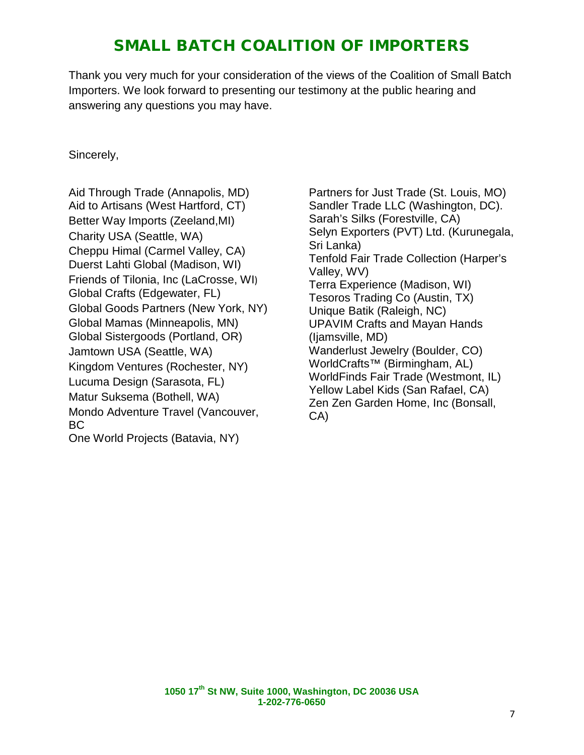Thank you very much for your consideration of the views of the Coalition of Small Batch Importers. We look forward to presenting our testimony at the public hearing and answering any questions you may have.

#### Sincerely,

Aid Through Trade (Annapolis, MD) Aid to Artisans (West Hartford, CT) Better Way Imports (Zeeland,MI) Charity USA (Seattle, WA) Cheppu Himal (Carmel Valley, CA) Duerst Lahti Global (Madison, WI) Friends of Tilonia, Inc (LaCrosse, WI) Global Crafts (Edgewater, FL) Global Goods Partners (New York, NY) Global Mamas (Minneapolis, MN) Global Sistergoods (Portland, OR) Jamtown USA (Seattle, WA) Kingdom Ventures (Rochester, NY) Lucuma Design (Sarasota, FL) Matur Suksema (Bothell, WA) Mondo Adventure Travel (Vancouver, BC One World Projects (Batavia, NY)

Partners for Just Trade (St. Louis, MO) Sandler Trade LLC (Washington, DC). Sarah's Silks (Forestville, CA) Selyn Exporters (PVT) Ltd. (Kurunegala, Sri Lanka) Tenfold Fair Trade Collection (Harper's Valley, WV) Terra Experience (Madison, WI) Tesoros Trading Co (Austin, TX) Unique Batik (Raleigh, NC) UPAVIM Crafts and Mayan Hands (Ijamsville, MD) Wanderlust Jewelry (Boulder, CO) WorldCrafts™ (Birmingham, AL) WorldFinds Fair Trade (Westmont, IL) Yellow Label Kids (San Rafael, CA) Zen Zen Garden Home, Inc (Bonsall, CA)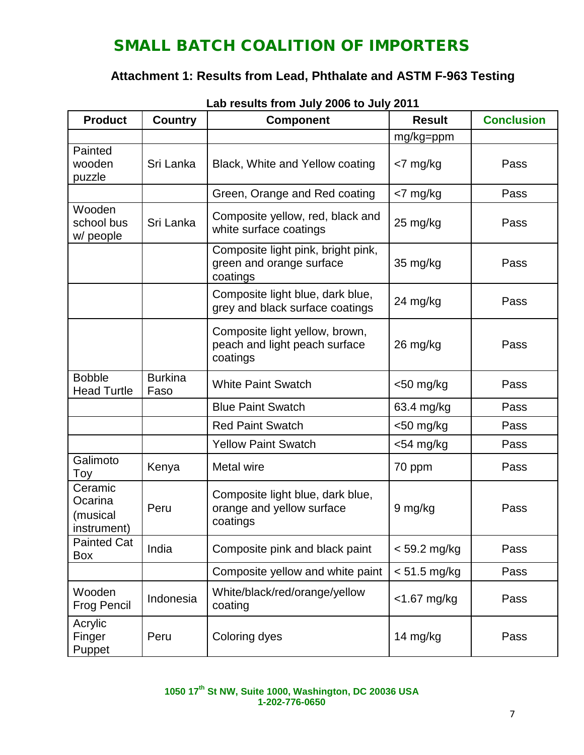### **Attachment 1: Results from Lead, Phthalate and ASTM F-963 Testing**

| <b>Product</b>                                | <b>Country</b>         | Lab I cound Hom bary 2000 to bary 2011<br><b>Component</b>                  | <b>Result</b> | <b>Conclusion</b> |
|-----------------------------------------------|------------------------|-----------------------------------------------------------------------------|---------------|-------------------|
|                                               |                        |                                                                             | mg/kg=ppm     |                   |
| Painted<br>wooden<br>puzzle                   | Sri Lanka              | Black, White and Yellow coating                                             | <7 mg/kg      | Pass              |
|                                               |                        | Green, Orange and Red coating                                               | <7 mg/kg      | Pass              |
| Wooden<br>school bus<br>w/ people             | Sri Lanka              | Composite yellow, red, black and<br>white surface coatings                  | 25 mg/kg      | Pass              |
|                                               |                        | Composite light pink, bright pink,<br>green and orange surface<br>coatings  | 35 mg/kg      | Pass              |
|                                               |                        | Composite light blue, dark blue,<br>grey and black surface coatings         | 24 mg/kg      | Pass              |
|                                               |                        | Composite light yellow, brown,<br>peach and light peach surface<br>coatings | 26 mg/kg      | Pass              |
| <b>Bobble</b><br><b>Head Turtle</b>           | <b>Burkina</b><br>Faso | <b>White Paint Swatch</b>                                                   | $<$ 50 mg/kg  | Pass              |
|                                               |                        | <b>Blue Paint Swatch</b>                                                    | 63.4 mg/kg    | Pass              |
|                                               |                        | <b>Red Paint Swatch</b>                                                     | $<$ 50 mg/kg  | Pass              |
|                                               |                        | <b>Yellow Paint Swatch</b>                                                  | $<$ 54 mg/kg  | Pass              |
| Galimoto<br>Toy                               | Kenya                  | Metal wire                                                                  | 70 ppm        | Pass              |
| Ceramic<br>Ocarina<br>(musical<br>instrument) | Peru                   | Composite light blue, dark blue,<br>orange and yellow surface<br>coatings   | 9 mg/kg       | Pass              |
| <b>Painted Cat</b><br><b>Box</b>              | India                  | Composite pink and black paint                                              | < 59.2 mg/kg  | Pass              |
|                                               |                        | Composite yellow and white paint                                            | < 51.5 mg/kg  | Pass              |
| Wooden<br><b>Frog Pencil</b>                  | Indonesia              | White/black/red/orange/yellow<br>coating                                    | <1.67 mg/kg   | Pass              |
| Acrylic<br>Finger<br>Puppet                   | Peru                   | Coloring dyes                                                               | 14 mg/kg      | Pass              |

**Lab results from July 2006 to July 2011**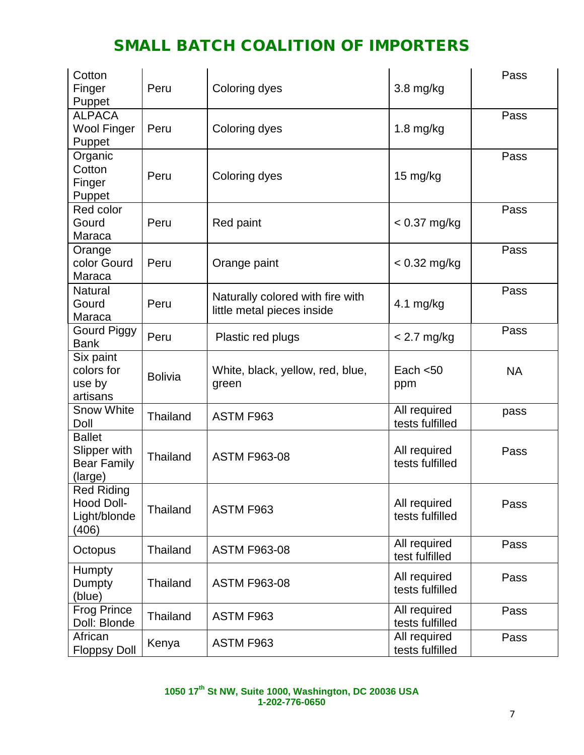| Cotton<br>Finger<br>Puppet                                     | Peru            | Coloring dyes                                                  | $3.8$ mg/kg                     | Pass      |
|----------------------------------------------------------------|-----------------|----------------------------------------------------------------|---------------------------------|-----------|
| <b>ALPACA</b><br><b>Wool Finger</b><br>Puppet                  | Peru            | Coloring dyes                                                  | $1.8$ mg/kg                     | Pass      |
| Organic<br>Cotton<br>Finger<br>Puppet                          | Peru            | Coloring dyes                                                  | 15 mg/kg                        | Pass      |
| Red color<br>Gourd<br>Maraca                                   | Peru            | Red paint                                                      | $< 0.37$ mg/kg                  | Pass      |
| Orange<br>color Gourd<br>Maraca                                | Peru            | Orange paint                                                   | $< 0.32$ mg/kg                  | Pass      |
| <b>Natural</b><br>Gourd<br>Maraca                              | Peru            | Naturally colored with fire with<br>little metal pieces inside | 4.1 $mg/kg$                     | Pass      |
| <b>Gourd Piggy</b><br><b>Bank</b>                              | Peru            | Plastic red plugs                                              | $< 2.7$ mg/kg                   | Pass      |
| Six paint<br>colors for<br>use by<br>artisans                  | <b>Bolivia</b>  | White, black, yellow, red, blue,<br>green                      | Each $<$ 50<br>ppm              | <b>NA</b> |
| <b>Snow White</b><br>Doll                                      | Thailand        | ASTM F963                                                      | All required<br>tests fulfilled | pass      |
| <b>Ballet</b><br>Slipper with<br><b>Bear Family</b><br>(large) | Thailand        | <b>ASTM F963-08</b>                                            | All required<br>tests fulfilled | Pass      |
| <b>Red Riding</b><br>Hood Doll-<br>Light/blonde<br>(406)       | Thailand        | ASTM F963                                                      | All required<br>tests fulfilled | Pass      |
| Octopus                                                        | Thailand        | <b>ASTM F963-08</b>                                            | All required<br>test fulfilled  | Pass      |
| <b>Humpty</b><br>Dumpty<br>(blue)                              | <b>Thailand</b> | <b>ASTM F963-08</b>                                            | All required<br>tests fulfilled | Pass      |
| <b>Frog Prince</b><br>Doll: Blonde                             | Thailand        | ASTM F963                                                      | All required<br>tests fulfilled | Pass      |
| African<br><b>Floppsy Doll</b>                                 | Kenya           | ASTM F963                                                      | All required<br>tests fulfilled | Pass      |